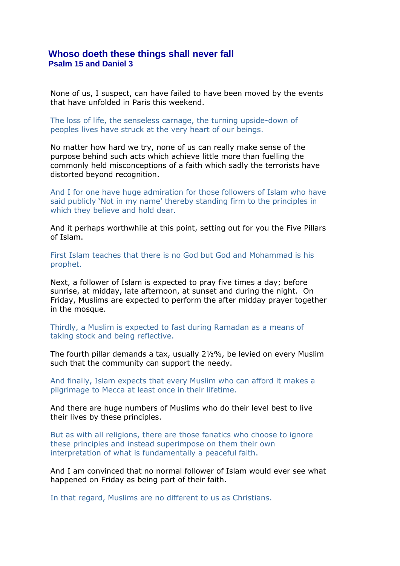## **Whoso doeth these things shall never fall Psalm 15 and Daniel 3**

None of us, I suspect, can have failed to have been moved by the events that have unfolded in Paris this weekend.

The loss of life, the senseless carnage, the turning upside-down of peoples lives have struck at the very heart of our beings.

No matter how hard we try, none of us can really make sense of the purpose behind such acts which achieve little more than fuelling the commonly held misconceptions of a faith which sadly the terrorists have distorted beyond recognition.

And I for one have huge admiration for those followers of Islam who have said publicly 'Not in my name' thereby standing firm to the principles in which they believe and hold dear.

And it perhaps worthwhile at this point, setting out for you the Five Pillars of Islam.

First Islam teaches that there is no God but God and Mohammad is his prophet.

Next, a follower of Islam is expected to pray five times a day; before sunrise, at midday, late afternoon, at sunset and during the night. On Friday, Muslims are expected to perform the after midday prayer together in the mosque.

Thirdly, a Muslim is expected to fast during Ramadan as a means of taking stock and being reflective.

The fourth pillar demands a tax, usually 2½%, be levied on every Muslim such that the community can support the needy.

And finally, Islam expects that every Muslim who can afford it makes a pilgrimage to Mecca at least once in their lifetime.

And there are huge numbers of Muslims who do their level best to live their lives by these principles.

But as with all religions, there are those fanatics who choose to ignore these principles and instead superimpose on them their own interpretation of what is fundamentally a peaceful faith.

And I am convinced that no normal follower of Islam would ever see what happened on Friday as being part of their faith.

In that regard, Muslims are no different to us as Christians.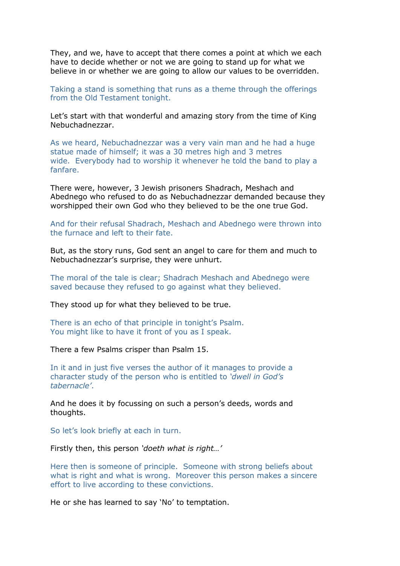They, and we, have to accept that there comes a point at which we each have to decide whether or not we are going to stand up for what we believe in or whether we are going to allow our values to be overridden.

Taking a stand is something that runs as a theme through the offerings from the Old Testament tonight.

Let's start with that wonderful and amazing story from the time of King Nebuchadnezzar.

As we heard, Nebuchadnezzar was a very vain man and he had a huge statue made of himself; it was a 30 metres high and 3 metres wide. Everybody had to worship it whenever he told the band to play a fanfare.

There were, however, 3 Jewish prisoners Shadrach, Meshach and Abednego who refused to do as Nebuchadnezzar demanded because they worshipped their own God who they believed to be the one true God.

And for their refusal Shadrach, Meshach and Abednego were thrown into the furnace and left to their fate.

But, as the story runs, God sent an angel to care for them and much to Nebuchadnezzar's surprise, they were unhurt.

The moral of the tale is clear; Shadrach Meshach and Abednego were saved because they refused to go against what they believed.

They stood up for what they believed to be true.

There is an echo of that principle in tonight's Psalm. You might like to have it front of you as I speak.

There a few Psalms crisper than Psalm 15.

In it and in just five verses the author of it manages to provide a character study of the person who is entitled to *'dwell in God's tabernacle'*.

And he does it by focussing on such a person's deeds, words and thoughts.

So let's look briefly at each in turn.

Firstly then, this person *'doeth what is right…'*

Here then is someone of principle. Someone with strong beliefs about what is right and what is wrong. Moreover this person makes a sincere effort to live according to these convictions.

He or she has learned to say 'No' to temptation.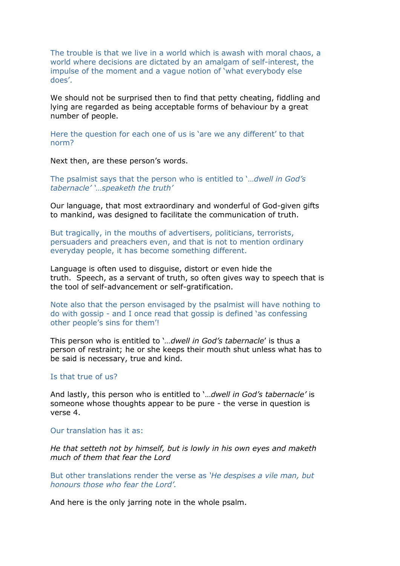The trouble is that we live in a world which is awash with moral chaos, a world where decisions are dictated by an amalgam of self-interest, the impulse of the moment and a vague notion of 'what everybody else does'.

We should not be surprised then to find that petty cheating, fiddling and lying are regarded as being acceptable forms of behaviour by a great number of people.

Here the question for each one of us is 'are we any different' to that norm?

Next then, are these person's words.

The psalmist says that the person who is entitled to '…*dwell in God's tabernacle' '…speaketh the truth'*

Our language, that most extraordinary and wonderful of God-given gifts to mankind, was designed to facilitate the communication of truth.

But tragically, in the mouths of advertisers, politicians, terrorists, persuaders and preachers even, and that is not to mention ordinary everyday people, it has become something different.

Language is often used to disguise, distort or even hide the truth. Speech, as a servant of truth, so often gives way to speech that is the tool of self-advancement or self-gratification.

Note also that the person envisaged by the psalmist will have nothing to do with gossip - and I once read that gossip is defined 'as confessing other people's sins for them'!

This person who is entitled to '*…dwell in God's tabernacle*' is thus a person of restraint; he or she keeps their mouth shut unless what has to be said is necessary, true and kind.

## Is that true of us?

And lastly, this person who is entitled to '…*dwell in God's tabernacle'* is someone whose thoughts appear to be pure - the verse in question is verse 4.

## Our translation has it as:

*He that setteth not by himself, but is lowly in his own eyes and maketh much of them that fear the Lord*

But other translations render the verse as *'He despises a vile man, but honours those who fear the Lord'.*

And here is the only jarring note in the whole psalm.